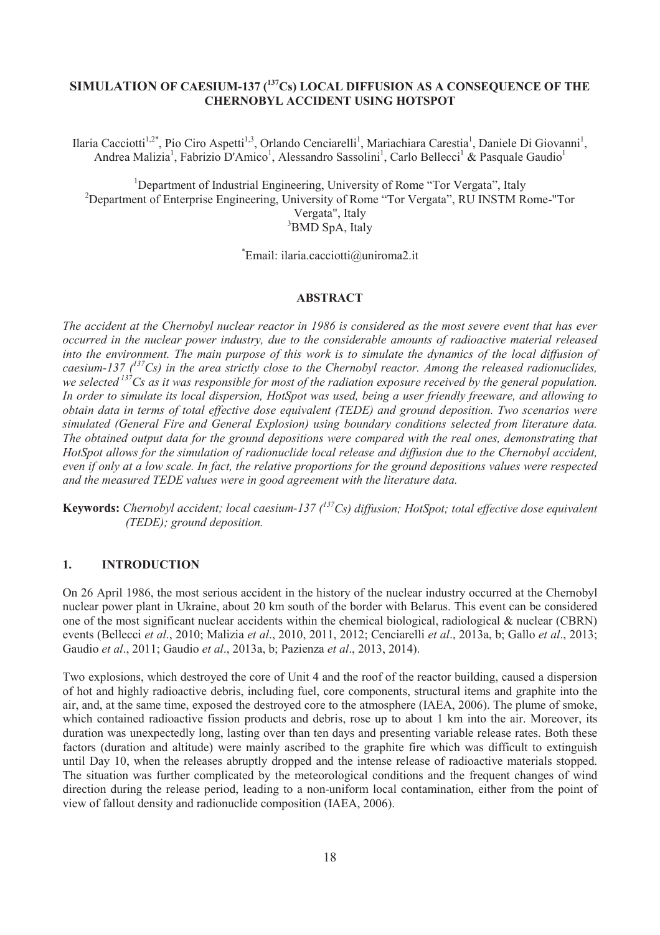# **SIMULATION OF CAESIUM-137 (<sup>137</sup>Cs) LOCAL DIFFUSION AS A CONSEQUENCE OF THE CHERNOBYL ACCIDENT USING HOTSPOT**

Ilaria Cacciotti<sup>1,2\*</sup>, Pio Ciro Aspetti<sup>1,3</sup>, Orlando Cenciarelli<sup>1</sup>, Mariachiara Carestia<sup>1</sup>, Daniele Di Giovanni<sup>1</sup>, Andrea Malizia<sup>1</sup>, Fabrizio D'Amico<sup>1</sup>, Alessandro Sassolini<sup>1</sup>, Carlo Bellecci<sup>1</sup> & Pasquale Gaudio<sup>1</sup>

<sup>1</sup>Department of Industrial Engineering, University of Rome "Tor Vergata", Italy <sup>2</sup>Department of Enterprise Engineering, University of Rome "Tor Vergata", RU INSTM Rome-"Tor Vergata", Italy <sup>3</sup>BMD SpA, Italy

\*Email: ilaria.cacciotti@uniroma2.it

#### **ABSTRACT**

*The accident at the Chernobyl nuclear reactor in 1986 is considered as the most severe event that has ever occurred in the nuclear power industry, due to the considerable amounts of radioactive material released into the environment. The main purpose of this work is to simulate the dynamics of the local diffusion of caesium-137 (<sup>137</sup>Cs) in the area strictly close to the Chernobyl reactor. Among the released radionuclides, we selected <sup>137</sup>Cs as it was responsible for most of the radiation exposure received by the general population. In order to simulate its local dispersion, HotSpot was used, being a user friendly freeware, and allowing to obtain data in terms of total effective dose equivalent (TEDE) and ground deposition. Two scenarios were simulated (General Fire and General Explosion) using boundary conditions selected from literature data. The obtained output data for the ground depositions were compared with the real ones, demonstrating that HotSpot allows for the simulation of radionuclide local release and diffusion due to the Chernobyl accident, even if only at a low scale. In fact, the relative proportions for the ground depositions values were respected and the measured TEDE values were in good agreement with the literature data.* 

**Keywords:** *Chernobyl accident; local caesium-137 (<sup>137</sup>Cs) diffusion; HotSpot; total effective dose equivalent (TEDE); ground deposition.*

#### **1. INTRODUCTION**

On 26 April 1986, the most serious accident in the history of the nuclear industry occurred at the Chernobyl nuclear power plant in Ukraine, about 20 km south of the border with Belarus. This event can be considered one of the most significant nuclear accidents within the chemical biological, radiological & nuclear (CBRN) events (Bellecci *et al*., 2010; Malizia *et al*., 2010, 2011, 2012; Cenciarelli *et al*., 2013a, b; Gallo *et al*., 2013; Gaudio *et al*., 2011; Gaudio *et al*., 2013a, b; Pazienza *et al*., 2013, 2014).

Two explosions, which destroyed the core of Unit 4 and the roof of the reactor building, caused a dispersion of hot and highly radioactive debris, including fuel, core components, structural items and graphite into the air, and, at the same time, exposed the destroyed core to the atmosphere (IAEA, 2006). The plume of smoke, which contained radioactive fission products and debris, rose up to about 1 km into the air. Moreover, its duration was unexpectedly long, lasting over than ten days and presenting variable release rates. Both these factors (duration and altitude) were mainly ascribed to the graphite fire which was difficult to extinguish until Day 10, when the releases abruptly dropped and the intense release of radioactive materials stopped. The situation was further complicated by the meteorological conditions and the frequent changes of wind direction during the release period, leading to a non-uniform local contamination, either from the point of view of fallout density and radionuclide composition (IAEA, 2006).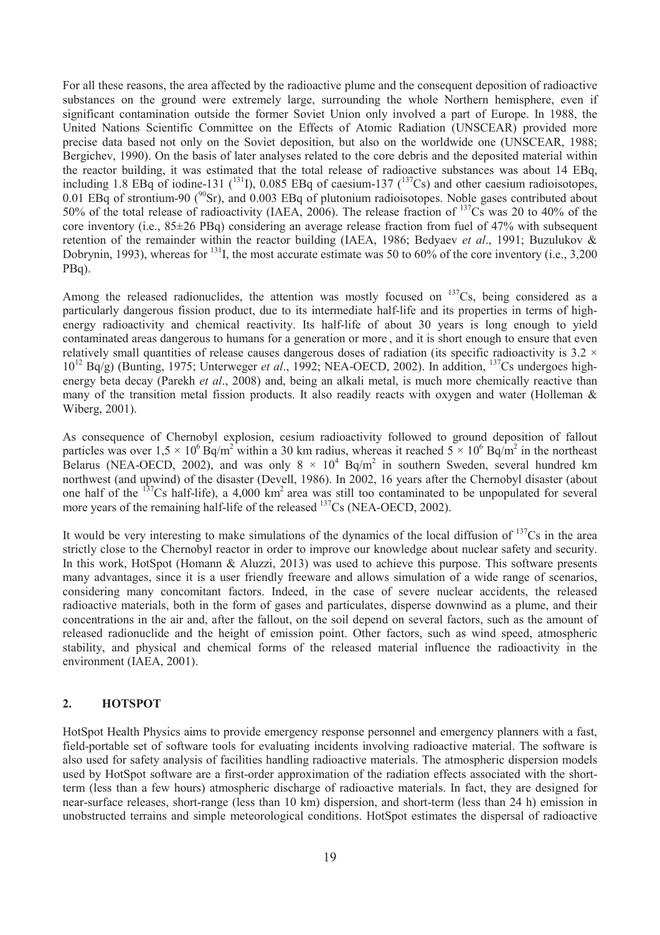For all these reasons, the area affected by the radioactive plume and the consequent deposition of radioactive substances on the ground were extremely large, surrounding the whole Northern hemisphere, even if significant contamination outside the former Soviet Union only involved a part of Europe. In 1988, the United Nations Scientific Committee on the Effects of Atomic Radiation (UNSCEAR) provided more precise data based not only on the Soviet deposition, but also on the worldwide one (UNSCEAR, 1988; Bergichev, 1990). On the basis of later analyses related to the core debris and the deposited material within the reactor building, it was estimated that the total release of radioactive substances was about 14 EBq, including 1.8 EBq of iodine-131  $(^{131}I)$ , 0.085 EBq of caesium-137  $(^{137}Cs)$  and other caesium radioisotopes, 0.01 EBq of strontium-90 ( $^{90}$ Sr), and 0.003 EBq of plutonium radioisotopes. Noble gases contributed about 50% of the total release of radioactivity (IAEA, 2006). The release fraction of <sup>137</sup>Cs was 20 to 40% of the core inventory (i.e.,  $85\pm26$  PBq) considering an average release fraction from fuel of 47% with subsequent retention of the remainder within the reactor building (IAEA, 1986; Bedyaev *et al*., 1991; Buzulukov & Dobrynin, 1993), whereas for <sup>131</sup>I, the most accurate estimate was 50 to 60% of the core inventory (i.e., 3,200) PBq).

Among the released radionuclides, the attention was mostly focused on  $137Cs$ , being considered as a particularly dangerous fission product, due to its intermediate half-life and its properties in terms of highenergy radioactivity and chemical reactivity. Its half-life of about 30 years is long enough to yield contaminated areas dangerous to humans for a generation or more , and it is short enough to ensure that even relatively small quantities of release causes dangerous doses of radiation (its specific radioactivity is  $3.2 \times$ 10<sup>12</sup> Bq/g) (Bunting, 1975; Unterweger *et al*., 1992; NEA-OECD, 2002). In addition, <sup>137</sup>Cs undergoes highenergy beta decay (Parekh *et al*., 2008) and, being an alkali metal, is much more chemically reactive than many of the transition metal fission products. It also readily reacts with oxygen and water (Holleman & Wiberg, 2001).

As consequence of Chernobyl explosion, cesium radioactivity followed to ground deposition of fallout particles was over  $1.5 \times 10^6$  Bq/m<sup>2</sup> within a 30 km radius, whereas it reached  $5 \times 10^6$  Bq/m<sup>2</sup> in the northeast Belarus (NEA-OECD, 2002), and was only  $8 \times 10^4$  Bq/m<sup>2</sup> in southern Sweden, several hundred km northwest (and upwind) of the disaster (Devell, 1986). In 2002, 16 years after the Chernobyl disaster (about one half of the  $137Cs$  half-life), a 4,000 km<sup>2</sup> area was still too contaminated to be unpopulated for several more years of the remaining half-life of the released <sup>137</sup>Cs (NEA-OECD, 2002).

It would be very interesting to make simulations of the dynamics of the local diffusion of  $137Cs$  in the area strictly close to the Chernobyl reactor in order to improve our knowledge about nuclear safety and security. In this work, HotSpot (Homann & Aluzzi, 2013) was used to achieve this purpose. This software presents many advantages, since it is a user friendly freeware and allows simulation of a wide range of scenarios, considering many concomitant factors. Indeed, in the case of severe nuclear accidents, the released radioactive materials, both in the form of gases and particulates, disperse downwind as a plume, and their concentrations in the air and, after the fallout, on the soil depend on several factors, such as the amount of released radionuclide and the height of emission point. Other factors, such as wind speed, atmospheric stability, and physical and chemical forms of the released material influence the radioactivity in the environment (IAEA, 2001).

#### **2. HOTSPOT**

HotSpot Health Physics aims to provide emergency response personnel and emergency planners with a fast, field-portable set of software tools for evaluating incidents involving radioactive material. The software is also used for safety analysis of facilities handling radioactive materials. The atmospheric dispersion models used by HotSpot software are a first-order approximation of the radiation effects associated with the shortterm (less than a few hours) atmospheric discharge of radioactive materials. In fact, they are designed for near-surface releases, short-range (less than 10 km) dispersion, and short-term (less than 24 h) emission in unobstructed terrains and simple meteorological conditions. HotSpot estimates the dispersal of radioactive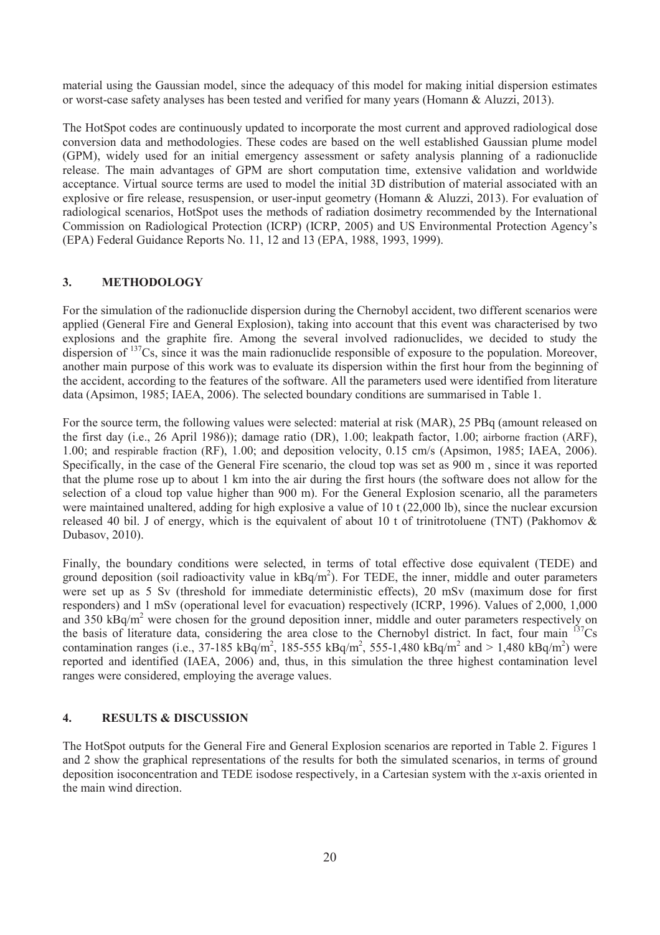material using the Gaussian model, since the adequacy of this model for making initial dispersion estimates or worst-case safety analyses has been tested and verified for many years (Homann & Aluzzi, 2013).

The HotSpot codes are continuously updated to incorporate the most current and approved radiological dose conversion data and methodologies. These codes are based on the well established Gaussian plume model (GPM), widely used for an initial emergency assessment or safety analysis planning of a radionuclide release. The main advantages of GPM are short computation time, extensive validation and worldwide acceptance. Virtual source terms are used to model the initial 3D distribution of material associated with an explosive or fire release, resuspension, or user-input geometry (Homann & Aluzzi, 2013). For evaluation of radiological scenarios, HotSpot uses the methods of radiation dosimetry recommended by the International Commission on Radiological Protection (ICRP) (ICRP, 2005) and US Environmental Protection Agency's (EPA) Federal Guidance Reports No. 11, 12 and 13 (EPA, 1988, 1993, 1999).

### **3. METHODOLOGY**

For the simulation of the radionuclide dispersion during the Chernobyl accident, two different scenarios were applied (General Fire and General Explosion), taking into account that this event was characterised by two explosions and the graphite fire. Among the several involved radionuclides, we decided to study the dispersion of  $137Cs$ , since it was the main radionuclide responsible of exposure to the population. Moreover, another main purpose of this work was to evaluate its dispersion within the first hour from the beginning of the accident, according to the features of the software. All the parameters used were identified from literature data (Apsimon, 1985; IAEA, 2006). The selected boundary conditions are summarised in Table 1.

For the source term, the following values were selected: material at risk (MAR), 25 PBq (amount released on the first day (i.e., 26 April 1986)); damage ratio (DR), 1.00; leakpath factor, 1.00; airborne fraction (ARF), 1.00; and respirable fraction (RF), 1.00; and deposition velocity, 0.15 cm/s (Apsimon, 1985; IAEA, 2006). Specifically, in the case of the General Fire scenario, the cloud top was set as 900 m , since it was reported that the plume rose up to about 1 km into the air during the first hours (the software does not allow for the selection of a cloud top value higher than 900 m). For the General Explosion scenario, all the parameters were maintained unaltered, adding for high explosive a value of 10 t (22,000 lb), since the nuclear excursion released 40 bil. J of energy, which is the equivalent of about 10 t of trinitrotoluene (TNT) (Pakhomov  $\&$ Dubasov, 2010).

Finally, the boundary conditions were selected, in terms of total effective dose equivalent (TEDE) and ground deposition (soil radioactivity value in  $kBq/m^2$ ). For TEDE, the inner, middle and outer parameters were set up as 5 Sv (threshold for immediate deterministic effects), 20 mSv (maximum dose for first responders) and 1 mSv (operational level for evacuation) respectively (ICRP, 1996). Values of 2,000, 1,000 and  $350 \text{ kBg/m}^2$  were chosen for the ground deposition inner, middle and outer parameters respectively on the basis of literature data, considering the area close to the Chernobyl district. In fact, four main <sup>137</sup>Cs contamination ranges (i.e., 37-185 kBq/m<sup>2</sup>, 185-555 kBq/m<sup>2</sup>, 555-1,480 kBq/m<sup>2</sup> and > 1,480 kBq/m<sup>2</sup>) were reported and identified (IAEA, 2006) and, thus, in this simulation the three highest contamination level ranges were considered, employing the average values.

### **4. RESULTS & DISCUSSION**

The HotSpot outputs for the General Fire and General Explosion scenarios are reported in Table 2. Figures 1 and 2 show the graphical representations of the results for both the simulated scenarios, in terms of ground deposition isoconcentration and TEDE isodose respectively, in a Cartesian system with the *x*-axis oriented in the main wind direction.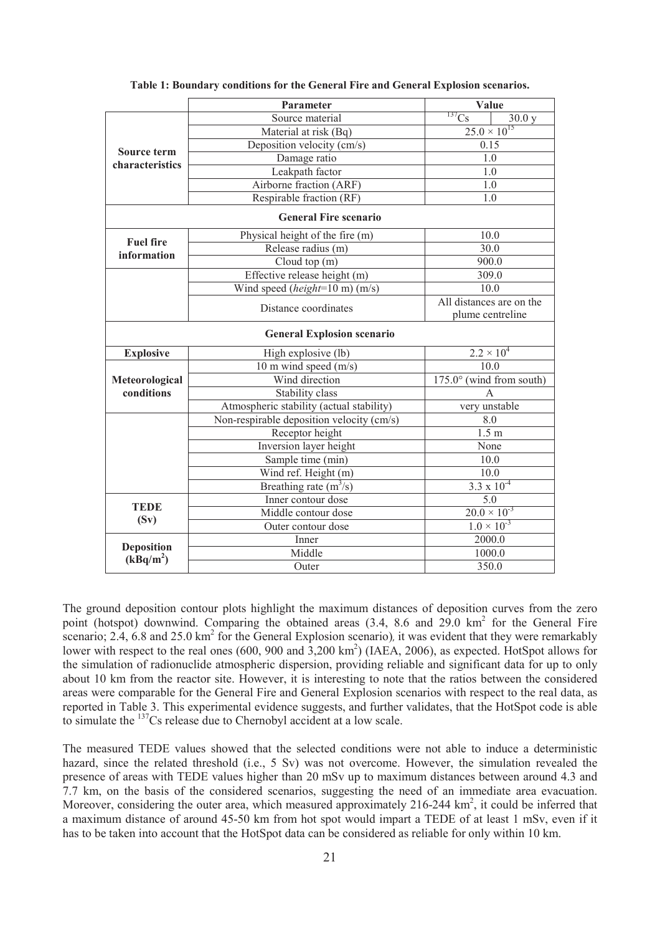|                                       | Parameter                                 | Value                                        |  |  |  |  |
|---------------------------------------|-------------------------------------------|----------------------------------------------|--|--|--|--|
|                                       | Source material                           | $^{137}\mathrm{Cs}$<br>30.0 y                |  |  |  |  |
|                                       | Material at risk (Bq)                     | $25.0 \times 10^{15}$                        |  |  |  |  |
|                                       | Deposition velocity (cm/s)                | 0.15                                         |  |  |  |  |
| <b>Source term</b><br>characteristics | Damage ratio                              | 1.0                                          |  |  |  |  |
|                                       | Leakpath factor                           | 1.0                                          |  |  |  |  |
|                                       | Airborne fraction (ARF)                   | $1.0\,$                                      |  |  |  |  |
|                                       | Respirable fraction (RF)                  | 1.0                                          |  |  |  |  |
|                                       | <b>General Fire scenario</b>              |                                              |  |  |  |  |
|                                       | Physical height of the fire (m)           | 10.0                                         |  |  |  |  |
| <b>Fuel fire</b>                      | Release radius (m)                        | 30.0                                         |  |  |  |  |
| information                           | Cloud top (m)                             | 900.0                                        |  |  |  |  |
|                                       | Effective release height (m)              | 309.0                                        |  |  |  |  |
|                                       | Wind speed (height=10 m) (m/s)            | 10.0                                         |  |  |  |  |
|                                       | Distance coordinates                      | All distances are on the<br>plume centreline |  |  |  |  |
| <b>General Explosion scenario</b>     |                                           |                                              |  |  |  |  |
| <b>Explosive</b>                      | High explosive (lb)                       | $2.2 \times 10^{4}$                          |  |  |  |  |
|                                       | 10 m wind speed $(m/s)$                   | 10.0                                         |  |  |  |  |
| Meteorological                        | Wind direction                            | $175.0^{\circ}$ (wind from south)            |  |  |  |  |
| conditions                            | Stability class                           | A                                            |  |  |  |  |
|                                       | Atmospheric stability (actual stability)  | very unstable                                |  |  |  |  |
|                                       | Non-respirable deposition velocity (cm/s) | 8.0                                          |  |  |  |  |
|                                       | Receptor height                           | 1.5 m                                        |  |  |  |  |
|                                       | Inversion layer height                    | None                                         |  |  |  |  |
|                                       | Sample time (min)                         | 10.0                                         |  |  |  |  |
|                                       | Wind ref. Height (m)                      | $10.0$                                       |  |  |  |  |
|                                       | Breathing rate $(m^3/s)$                  | 3.3 $\overline{x}$ $10^{-4}$                 |  |  |  |  |
| <b>TEDE</b>                           | Inner contour dose                        | 5.0                                          |  |  |  |  |
| (Sv)                                  | Middle contour dose                       | $20.0 \times 10^{-3}$                        |  |  |  |  |
|                                       | Outer contour dose                        | $1.0 \times 10^{-3}$                         |  |  |  |  |
|                                       | Inner                                     | 2000.0                                       |  |  |  |  |
| <b>Deposition</b>                     | Middle                                    | 1000.0                                       |  |  |  |  |
| (kBq/m <sup>2</sup> )                 | Outer                                     | 350.0                                        |  |  |  |  |

|  |  |  | Table 1: Boundary conditions for the General Fire and General Explosion scenarios. |  |  |  |  |  |  |
|--|--|--|------------------------------------------------------------------------------------|--|--|--|--|--|--|
|--|--|--|------------------------------------------------------------------------------------|--|--|--|--|--|--|

The ground deposition contour plots highlight the maximum distances of deposition curves from the zero point (hotspot) downwind. Comparing the obtained areas (3.4, 8.6 and 29.0 km<sup>2</sup> for the General Fire scenario; 2.4, 6.8 and 25.0 km<sup>2</sup> for the General Explosion scenario), it was evident that they were remarkably lower with respect to the real ones (600, 900 and 3,200 km<sup>2</sup>) (IAEA, 2006), as expected. HotSpot allows for the simulation of radionuclide atmospheric dispersion, providing reliable and significant data for up to only about 10 km from the reactor site. However, it is interesting to note that the ratios between the considered areas were comparable for the General Fire and General Explosion scenarios with respect to the real data, as reported in Table 3. This experimental evidence suggests, and further validates, that the HotSpot code is able to simulate the <sup>137</sup>Cs release due to Chernobyl accident at a low scale.

The measured TEDE values showed that the selected conditions were not able to induce a deterministic hazard, since the related threshold (i.e., 5 Sv) was not overcome. However, the simulation revealed the presence of areas with TEDE values higher than 20 mSv up to maximum distances between around 4.3 and 7.7 km, on the basis of the considered scenarios, suggesting the need of an immediate area evacuation. Moreover, considering the outer area, which measured approximately 216-244 km<sup>2</sup>, it could be inferred that a maximum distance of around 45-50 km from hot spot would impart a TEDE of at least 1 mSv, even if it has to be taken into account that the HotSpot data can be considered as reliable for only within 10 km.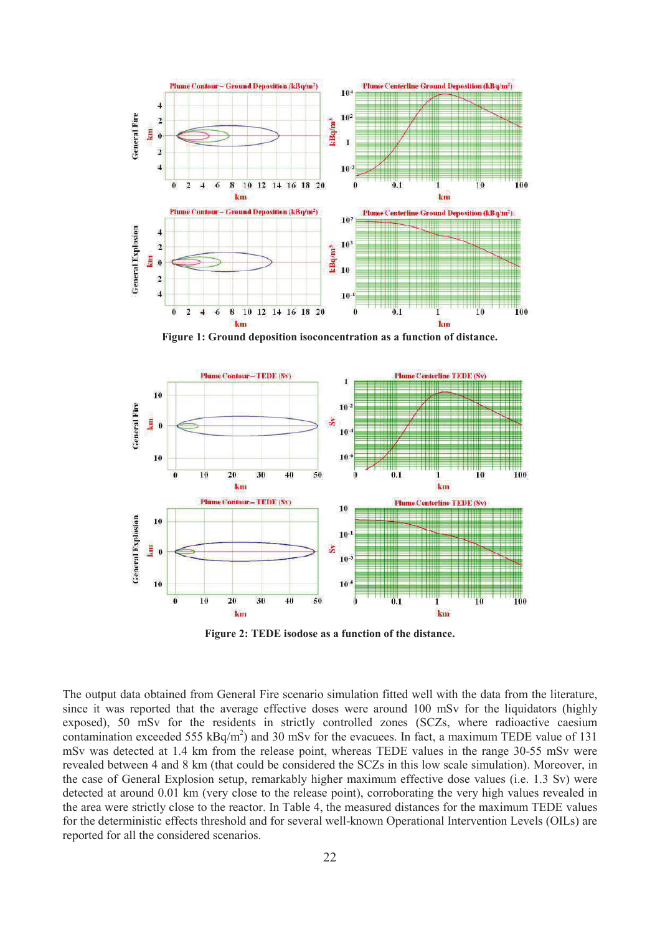

**Figure 1: Ground deposition isoconcentration as a function of distance.**



**Figure 2: TEDE isodose as a function of the distance.**

The output data obtained from General Fire scenario simulation fitted well with the data from the literature, since it was reported that the average effective doses were around 100 mSv for the liquidators (highly exposed), 50 mSv for the residents in strictly controlled zones (SCZs, where radioactive caesium contamination exceeded 555  $kBq/m^2$ ) and 30 mSv for the evacuees. In fact, a maximum TEDE value of 131 mSv was detected at 1.4 km from the release point, whereas TEDE values in the range 30-55 mSv were revealed between 4 and 8 km (that could be considered the SCZs in this low scale simulation). Moreover, in the case of General Explosion setup, remarkably higher maximum effective dose values (i.e. 1.3 Sv) were detected at around 0.01 km (very close to the release point), corroborating the very high values revealed in the area were strictly close to the reactor. In Table 4, the measured distances for the maximum TEDE values for the deterministic effects threshold and for several well-known Operational Intervention Levels (OILs) are reported for all the considered scenarios.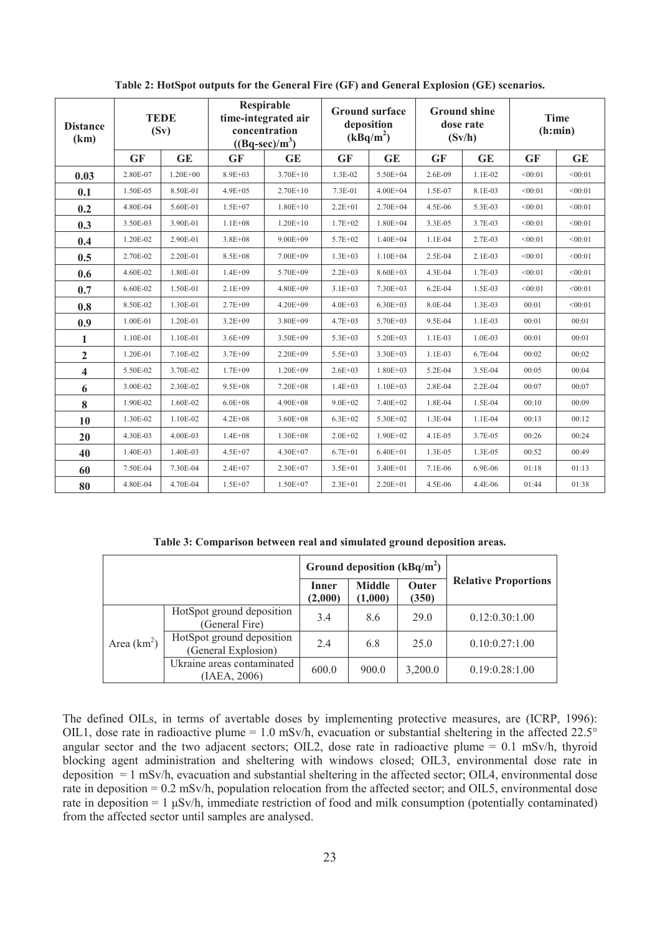| <b>Distance</b><br>(km) | <b>TEDE</b><br>(Sv) |              | Respirable<br>time-integrated air<br>concentration<br>$((Bq\text{-}sec)/m^3)$ |              | <b>Ground surface</b><br>deposition<br>(kBq/m <sup>2</sup> ) |              | <b>Ground shine</b><br>dose rate<br>(Sv/h) |            | <b>Time</b><br>(h:min) |           |
|-------------------------|---------------------|--------------|-------------------------------------------------------------------------------|--------------|--------------------------------------------------------------|--------------|--------------------------------------------|------------|------------------------|-----------|
|                         | <b>GF</b>           | <b>GE</b>    | <b>GF</b>                                                                     | <b>GE</b>    | <b>GF</b>                                                    | <b>GE</b>    | <b>GF</b>                                  | <b>GE</b>  | <b>GF</b>              | <b>GE</b> |
| 0.03                    | 2.80E-07            | $1.20E + 00$ | $8.9E + 03$                                                                   | $3.70E + 10$ | 1.3E-02                                                      | 5.50E+04     | 2.6E-09                                    | 1.1E-02    | < 00:01                | < 00:01   |
| 0.1                     | 1.50E-05            | 8.50E-01     | $4.9E + 05$                                                                   | $2.70E+10$   | 7.3E-01                                                      | $4.00E + 04$ | 1.5E-07                                    | 8.1E-03    | < 00:01                | < 00:01   |
| 0.2                     | 4.80E-04            | 5.60E-01     | $1.5E + 07$                                                                   | $1.80E+10$   | $2.2E + 01$                                                  | $2.70E + 04$ | 4.5E-06                                    | 5.3E-03    | < 00:01                | < 00:01   |
| 0.3                     | 3.50E-03            | 3.90E-01     | $1.1E + 08$                                                                   | $1.20E + 10$ | $1.7E + 02$                                                  | $1.80E + 04$ | 3.3E-05                                    | 3.7E-03    | < 00:01                | < 00:01   |
| 0.4                     | 1.20E-02            | 2.90E-01     | $3.8E + 08$                                                                   | $9.00E + 09$ | 5.7E+02                                                      | $1.40E + 04$ | $1.1E-04$                                  | 2.7E-03    | < 00:01                | < 00:01   |
| 0.5                     | 2.70E-02            | 2.20E-01     | $8.5E + 08$                                                                   | 7.00E+09     | $1.3E + 03$                                                  | $1.10E + 04$ | 2.5E-04                                    | 2.1E-03    | < 00:01                | < 00:01   |
| 0.6                     | 4.60E-02            | 1.80E-01     | $1.4E + 09$                                                                   | 5.70E+09     | $2.2E + 03$                                                  | $8.60E + 03$ | 4.3E-04                                    | 1.7E-03    | < 00:01                | < 00:01   |
| 0.7                     | 6.60E-02            | 1.50E-01     | $2.1E + 09$                                                                   | 4.80E+09     | $3.1E + 03$                                                  | 7.30E+03     | $6.2E-04$                                  | 1.5E-03    | < 00:01                | < 00:01   |
| 0.8                     | 8.50E-02            | 1.30E-01     | $2.7E + 09$                                                                   | $4.20E + 09$ | $4.0E + 03$                                                  | $6.30E + 03$ | 8.0E-04                                    | $1.3E-03$  | 00:01                  | < 00:01   |
| 0.9                     | 1.00E-01            | 1.20E-01     | $3.2E + 09$                                                                   | $3.80E + 09$ | $4.7E + 03$                                                  | $5.70E + 03$ | 9.5E-04                                    | $1.1E-03$  | 00:01                  | 00:01     |
| 1                       | 1.10E-01            | 1.10E-01     | $3.6E + 09$                                                                   | 3.50E+09     | $5.3E + 03$                                                  | $5.20E + 03$ | $1.1E-03$                                  | 1.0E-03    | 00:01                  | 00:01     |
| $\mathbf{2}$            | 1.20E-01            | 7.10E-02     | $3.7E + 09$                                                                   | $2.20E + 09$ | $5.5E + 03$                                                  | $3.30E + 03$ | $1.1E-03$                                  | 6.7E-04    | 00:02                  | 00:02     |
| 4                       | 5.50E-02            | 3.70E-02     | $1.7E + 09$                                                                   | $1.20E + 09$ | $2.6E + 03$                                                  | $1.80E + 03$ | 5.2E-04                                    | 3.5E-04    | 00:05                  | 00:04     |
| 6                       | 3.00E-02            | 2.30E-02     | $9.5E + 08$                                                                   | 7.20E+08     | $1.4E + 03$                                                  | $1.10E + 03$ | 2.8E-04                                    | 2.2E-04    | 00:07                  | 00:07     |
| 8                       | 1.90E-02            | 1.60E-02     | $6.0E + 08$                                                                   | 4.90E+08     | $9.0E + 02$                                                  | 7.40E+02     | 1.8E-04                                    | 1.5E-04    | 00:10                  | 00:09     |
| 10                      | 1.30E-02            | 1.10E-02     | $4.2E + 08$                                                                   | $3.60E + 08$ | $6.3E + 02$                                                  | 5.30E+02     | 1.3E-04                                    | $1.1E-04$  | 00:13                  | 00:12     |
| 20                      | 4.30E-03            | 4.00E-03     | $1.4E + 08$                                                                   | $1.30E + 08$ | $2.0E + 02$                                                  | 1.90E+02     | 4.1E-05                                    | 3.7E-05    | 00:26                  | 00:24     |
| 40                      | 1.40E-03            | 1.40E-03     | $4.5E + 07$                                                                   | 4.30E+07     | $6.7E + 01$                                                  | $6.40E + 01$ | 1.3E-05                                    | $1.3E-0.5$ | 00:52                  | 00:49     |
| 60                      | 7.50E-04            | 7.30E-04     | $2.4E + 07$                                                                   | $2.30E + 07$ | $3.5E + 01$                                                  | $3.40E + 01$ | 7.1E-06                                    | 6.9E-06    | 01:18                  | 01:13     |
| 80                      | 4.80E-04            | 4.70E-04     | $1.5E + 07$                                                                   | 1.50E+07     | $2.3E + 01$                                                  | $2.20E + 01$ | 4.5E-06                                    | 4.4E-06    | 01:44                  | 01:38     |

**Table 2: HotSpot outputs for the General Fire (GF) and General Explosion (GE) scenarios.**

**Table 3: Comparison between real and simulated ground deposition areas.**

|               |                                                  | Ground deposition $(kBq/m^2)$ |                          |                |                             |
|---------------|--------------------------------------------------|-------------------------------|--------------------------|----------------|-----------------------------|
|               |                                                  | Inner<br>(2,000)              | <b>Middle</b><br>(1,000) | Outer<br>(350) | <b>Relative Proportions</b> |
|               | HotSpot ground deposition<br>(General Fire)      | 3.4                           | 8.6                      | 29.0           | 0.12:0.30:1.00              |
| Area $(km^2)$ | HotSpot ground deposition<br>(General Explosion) | 2.4                           | 6.8                      | 25.0           | 0.10:0.27:1.00              |
|               | Ukraine areas contaminated<br>(IAEA, 2006)       | 600.0                         | 900.0                    | 3,200.0        | 0.19:0.28:1.00              |

The defined OILs, in terms of avertable doses by implementing protective measures, are (ICRP, 1996): OIL1, dose rate in radioactive plume = 1.0 mSv/h, evacuation or substantial sheltering in the affected  $22.5^{\circ}$ angular sector and the two adjacent sectors; OIL2, dose rate in radioactive plume  $= 0.1$  mSv/h, thyroid blocking agent administration and sheltering with windows closed; OIL3, environmental dose rate in deposition = 1 mSv/h, evacuation and substantial sheltering in the affected sector; OIL4, environmental dose rate in deposition = 0.2 mSv/h, population relocation from the affected sector; and OIL5, environmental dose rate in deposition  $=1 \mu Sv/h$ , immediate restriction of food and milk consumption (potentially contaminated) from the affected sector until samples are analysed.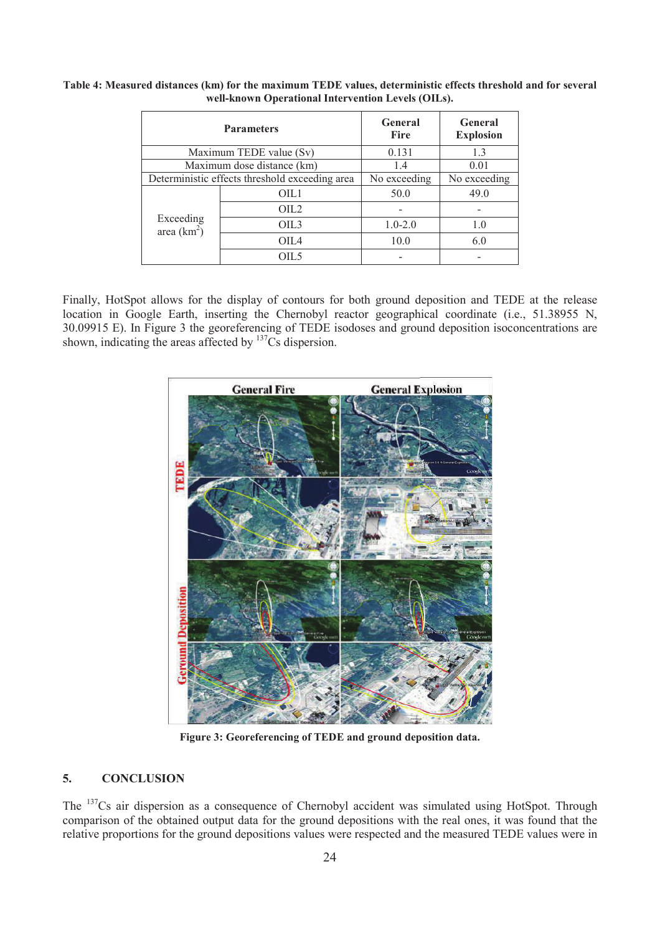|                            | <b>Parameters</b>                              | <b>General</b><br><b>Fire</b> | <b>General</b><br><b>Explosion</b> |  |
|----------------------------|------------------------------------------------|-------------------------------|------------------------------------|--|
|                            | Maximum TEDE value (Sv)                        | 0.131                         | 13                                 |  |
|                            | Maximum dose distance (km)                     | 1.4                           | 0.01                               |  |
|                            | Deterministic effects threshold exceeding area | No exceeding                  | No exceeding                       |  |
| Exceeding<br>area $(km^2)$ | OIL1                                           | 50.0                          | 49.0                               |  |
|                            | OIL <sub>2</sub>                               |                               |                                    |  |
|                            | OIL3                                           | $1.0 - 2.0$                   | 1.0                                |  |
|                            | OIL4                                           | 10.0                          | 6.0                                |  |
|                            | OIL5                                           |                               |                                    |  |

**Table 4: Measured distances (km) for the maximum TEDE values, deterministic effects threshold and for several well-known Operational Intervention Levels (OILs).**

Finally, HotSpot allows for the display of contours for both ground deposition and TEDE at the release location in Google Earth, inserting the Chernobyl reactor geographical coordinate (i.e., 51.38955 N, 30.09915 E). In Figure 3 the georeferencing of TEDE isodoses and ground deposition isoconcentrations are shown, indicating the areas affected by <sup>137</sup>Cs dispersion.



**Figure 3: Georeferencing of TEDE and ground deposition data.**

## **5. CONCLUSION**

The <sup>137</sup>Cs air dispersion as a consequence of Chernobyl accident was simulated using HotSpot. Through comparison of the obtained output data for the ground depositions with the real ones, it was found that the relative proportions for the ground depositions values were respected and the measured TEDE values were in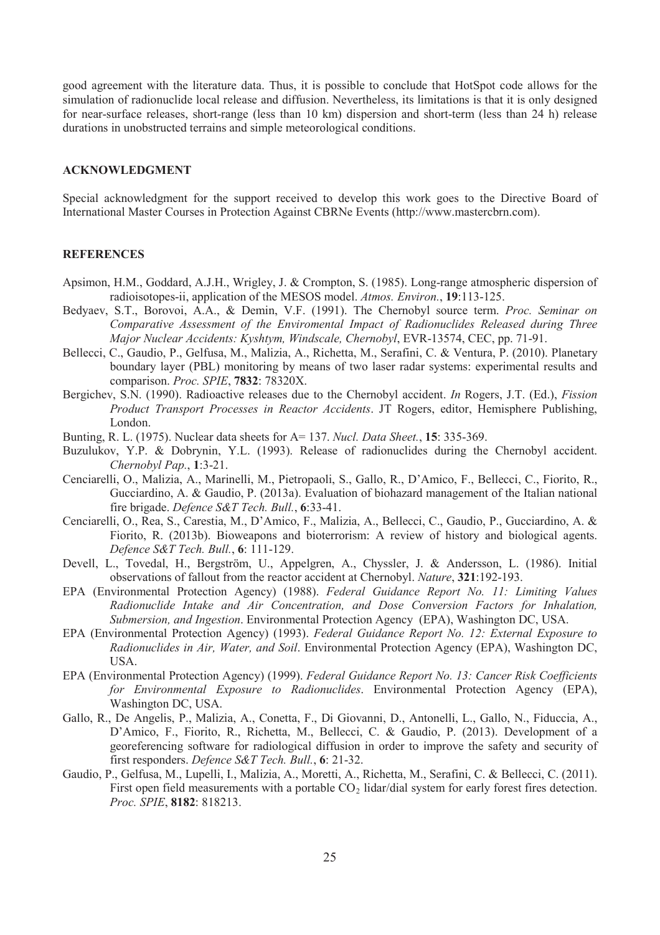good agreement with the literature data. Thus, it is possible to conclude that HotSpot code allows for the simulation of radionuclide local release and diffusion. Nevertheless, its limitations is that it is only designed for near-surface releases, short-range (less than 10 km) dispersion and short-term (less than 24 h) release durations in unobstructed terrains and simple meteorological conditions.

#### **ACKNOWLEDGMENT**

Special acknowledgment for the support received to develop this work goes to the Directive Board of International Master Courses in Protection Against CBRNe Events (http://www.mastercbrn.com).

#### **REFERENCES**

- Apsimon, H.M., Goddard, A.J.H., Wrigley, J. & Crompton, S. (1985). Long-range atmospheric dispersion of radioisotopes-ii, application of the MESOS model. *Atmos. Environ.*, **19**:113-125.
- Bedyaev, S.T., Borovoi, A.A., & Demin, V.F. (1991). The Chernobyl source term. *Proc. Seminar on Comparative Assessment of the Enviromental Impact of Radionuclides Released during Three Major Nuclear Accidents: Kyshtym, Windscale, Chernobyl*, EVR-13574, CEC, pp. 71-91.
- Bellecci, C., Gaudio, P., Gelfusa, M., Malizia, A., Richetta, M., Serafini, C. & Ventura, P. (2010). Planetary boundary layer (PBL) monitoring by means of two laser radar systems: experimental results and comparison. *Proc. SPIE*, **7832**: 78320X.
- Bergichev, S.N. (1990). Radioactive releases due to the Chernobyl accident. *In* Rogers, J.T. (Ed.), *Fission Product Transport Processes in Reactor Accidents*. JT Rogers, editor, Hemisphere Publishing, London.
- Bunting, R. L. (1975). Nuclear data sheets for A= 137. *Nucl. Data Sheet.*, **15**: 335-369.
- Buzulukov, Y.P. & Dobrynin, Y.L. (1993). Release of radionuclides during the Chernobyl accident. *Chernobyl Pap.*, **1**:3-21.
- Cenciarelli, O., Malizia, A., Marinelli, M., Pietropaoli, S., Gallo, R., D'Amico, F., Bellecci, C., Fiorito, R., Gucciardino, A. & Gaudio, P. (2013a). Evaluation of biohazard management of the Italian national fire brigade. *Defence S&T Tech. Bull.*, **6**:33-41.
- Cenciarelli, O., Rea, S., Carestia, M., D'Amico, F., Malizia, A., Bellecci, C., Gaudio, P., Gucciardino, A. & Fiorito, R. (2013b). Bioweapons and bioterrorism: A review of history and biological agents. *Defence S&T Tech. Bull.*, **6**: 111-129.
- Devell, L., Tovedal, H., Bergström, U., Appelgren, A., Chyssler, J. & Andersson, L. (1986). Initial observations of fallout from the reactor accident at Chernobyl. *Nature*, **321**:192-193.
- EPA (Environmental Protection Agency) (1988). *Federal Guidance Report No. 11: Limiting Values Radionuclide Intake and Air Concentration, and Dose Conversion Factors for Inhalation, Submersion, and Ingestion*. Environmental Protection Agency (EPA), Washington DC, USA.
- EPA (Environmental Protection Agency) (1993). *Federal Guidance Report No. 12: External Exposure to Radionuclides in Air, Water, and Soil*. Environmental Protection Agency (EPA), Washington DC, USA.
- EPA (Environmental Protection Agency) (1999). *Federal Guidance Report No. 13: Cancer Risk Coefficients for Environmental Exposure to Radionuclides*. Environmental Protection Agency (EPA), Washington DC, USA.
- Gallo, R., De Angelis, P., Malizia, A., Conetta, F., Di Giovanni, D., Antonelli, L., Gallo, N., Fiduccia, A., D'Amico, F., Fiorito, R., Richetta, M., Bellecci, C. & Gaudio, P. (2013). Development of a georeferencing software for radiological diffusion in order to improve the safety and security of first responders. *Defence S&T Tech. Bull.*, **6**: 21-32.
- Gaudio, P., Gelfusa, M., Lupelli, I., Malizia, A., Moretti, A., Richetta, M., Serafini, C. & Bellecci, C. (2011). First open field measurements with a portable  $CO<sub>2</sub>$  lidar/dial system for early forest fires detection. *Proc. SPIE*, **8182**: 818213.